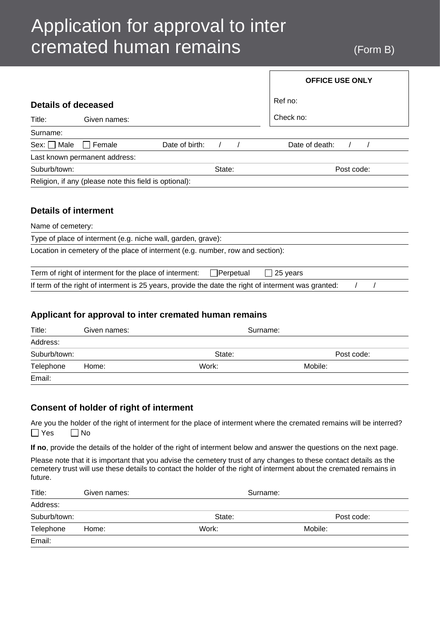# Application for approval to inter cremated human remains (Form B)

|                             |                                                        |                                                                                | <b>OFFICE USE ONLY</b> |
|-----------------------------|--------------------------------------------------------|--------------------------------------------------------------------------------|------------------------|
| Details of deceased         |                                                        |                                                                                | Ref no:                |
| Title:                      | Given names:                                           |                                                                                | Check no:              |
| Surname:                    |                                                        |                                                                                |                        |
| Male<br>Sex: II             | Female                                                 | Date of birth:                                                                 | Date of death:         |
|                             | Last known permanent address:                          |                                                                                |                        |
| Suburb/town:                |                                                        | State:                                                                         | Post code:             |
|                             | Religion, if any (please note this field is optional): |                                                                                |                        |
|                             |                                                        |                                                                                |                        |
| <b>Details of interment</b> |                                                        |                                                                                |                        |
| Name of cemetery:           |                                                        |                                                                                |                        |
|                             |                                                        | Type of place of interment (e.g. niche wall, garden, grave):                   |                        |
|                             |                                                        | Location in cemetery of the place of interment (e.g. number, row and section): |                        |

| Term of right of interment for the place of interment: $\Box$ Perpetual                             | $\Box$ 25 years |  |  |
|-----------------------------------------------------------------------------------------------------|-----------------|--|--|
| If term of the right of interment is 25 years, provide the date the right of interment was granted: |                 |  |  |

## **Applicant for approval to inter cremated human remains**

| Title:       | Given names: | Surname: |            |
|--------------|--------------|----------|------------|
| Address:     |              |          |            |
| Suburb/town: |              | State:   | Post code: |
| Telephone    | Home:        | Work:    | Mobile:    |
| Email:       |              |          |            |

# **Consent of holder of right of interment**

Are you the holder of the right of interment for the place of interment where the cremated remains will be interred?  $\Box$  Yes  $\Box$  No

**If no**, provide the details of the holder of the right of interment below and answer the questions on the next page.

Please note that it is important that you advise the cemetery trust of any changes to these contact details as the cemetery trust will use these details to contact the holder of the right of interment about the cremated remains in future.

| Title:       | Given names: | Surname: |            |
|--------------|--------------|----------|------------|
| Address:     |              |          |            |
| Suburb/town: |              | State:   | Post code: |
| Telephone    | Home:        | Work:    | Mobile:    |
| Email:       |              |          |            |